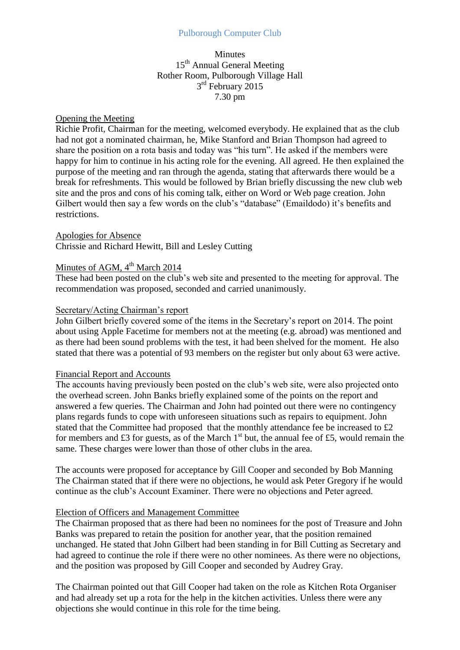## Pulborough Computer Club

## Minutes 15<sup>th</sup> Annual General Meeting Rother Room, Pulborough Village Hall 3<sup>rd</sup> February 2015 7.30 pm

### Opening the Meeting

Richie Profit, Chairman for the meeting, welcomed everybody. He explained that as the club had not got a nominated chairman, he, Mike Stanford and Brian Thompson had agreed to share the position on a rota basis and today was "his turn". He asked if the members were happy for him to continue in his acting role for the evening. All agreed. He then explained the purpose of the meeting and ran through the agenda, stating that afterwards there would be a break for refreshments. This would be followed by Brian briefly discussing the new club web site and the pros and cons of his coming talk, either on Word or Web page creation. John Gilbert would then say a few words on the club's "database" (Emaildodo) it's benefits and restrictions.

#### Apologies for Absence

Chrissie and Richard Hewitt, Bill and Lesley Cutting

# Minutes of AGM,  $4<sup>th</sup>$  March 2014

These had been posted on the club's web site and presented to the meeting for approval. The recommendation was proposed, seconded and carried unanimously.

### Secretary/Acting Chairman's report

John Gilbert briefly covered some of the items in the Secretary's report on 2014. The point about using Apple Facetime for members not at the meeting (e.g. abroad) was mentioned and as there had been sound problems with the test, it had been shelved for the moment. He also stated that there was a potential of 93 members on the register but only about 63 were active.

#### Financial Report and Accounts

The accounts having previously been posted on the club's web site, were also projected onto the overhead screen. John Banks briefly explained some of the points on the report and answered a few queries. The Chairman and John had pointed out there were no contingency plans regards funds to cope with unforeseen situations such as repairs to equipment. John stated that the Committee had proposed that the monthly attendance fee be increased to £2 for members and £3 for guests, as of the March  $1<sup>st</sup>$  but, the annual fee of £5, would remain the same. These charges were lower than those of other clubs in the area.

The accounts were proposed for acceptance by Gill Cooper and seconded by Bob Manning The Chairman stated that if there were no objections, he would ask Peter Gregory if he would continue as the club's Account Examiner. There were no objections and Peter agreed.

### Election of Officers and Management Committee

The Chairman proposed that as there had been no nominees for the post of Treasure and John Banks was prepared to retain the position for another year, that the position remained unchanged. He stated that John Gilbert had been standing in for Bill Cutting as Secretary and had agreed to continue the role if there were no other nominees. As there were no objections, and the position was proposed by Gill Cooper and seconded by Audrey Gray.

The Chairman pointed out that Gill Cooper had taken on the role as Kitchen Rota Organiser and had already set up a rota for the help in the kitchen activities. Unless there were any objections she would continue in this role for the time being.